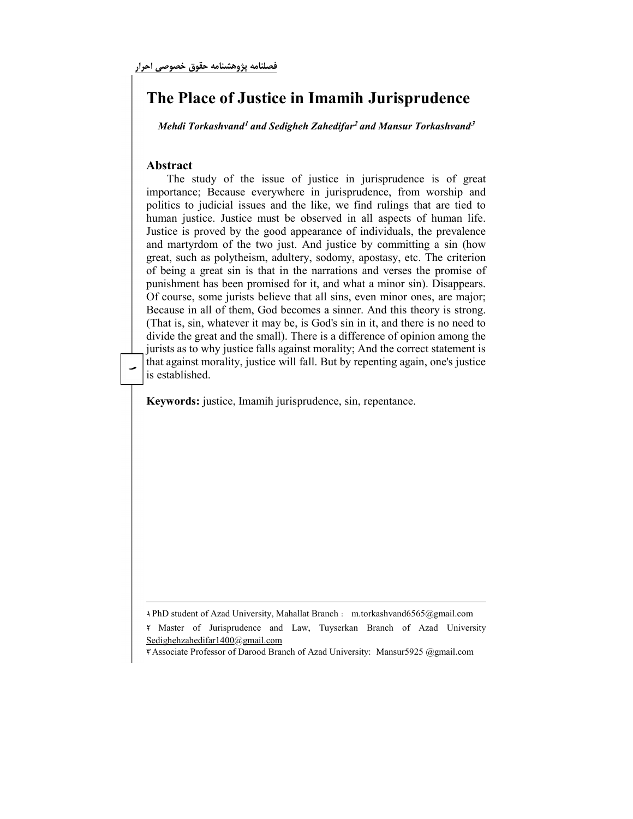## The Place of Justice in Imamih Jurisprudence

Mehdi Torkashvand<sup>1</sup> and Sedigheh Zahedifar<sup>2</sup> and Mansur Torkashvand<sup>3</sup>

## Abstract

-

that against morality, justice will fall. But by repenting again, one's justice The study of the issue of justice in jurisprudence is of great importance; Because everywhere in jurisprudence, from worship and politics to judicial issues and the like, we find rulings that are tied to human justice. Justice must be observed in all aspects of human life. Justice is proved by the good appearance of individuals, the prevalence and martyrdom of the two just. And justice by committing a sin (how great, such as polytheism, adultery, sodomy, apostasy, etc. The criterion of being a great sin is that in the narrations and verses the promise of punishment has been promised for it, and what a minor sin). Disappears. Of course, some jurists believe that all sins, even minor ones, are major; Because in all of them, God becomes a sinner. And this theory is strong. (That is, sin, whatever it may be, is God's sin in it, and there is no need to divide the great and the small). There is a difference of opinion among the jurists as to why justice falls against morality; And the correct statement is is established.

Keywords: justice, Imamih jurisprudence, sin, repentance.

١- PhD student of Azad University, Mahallat Branch : m.torkashvand6565@gmail.com

٢- Master of Jurisprudence and Law, Tuyserkan Branch of Azad University Sedighehzahedifar1400@gmail.com

٣- Associate Professor of Darood Branch of Azad University: Mansur5925 @gmail.com